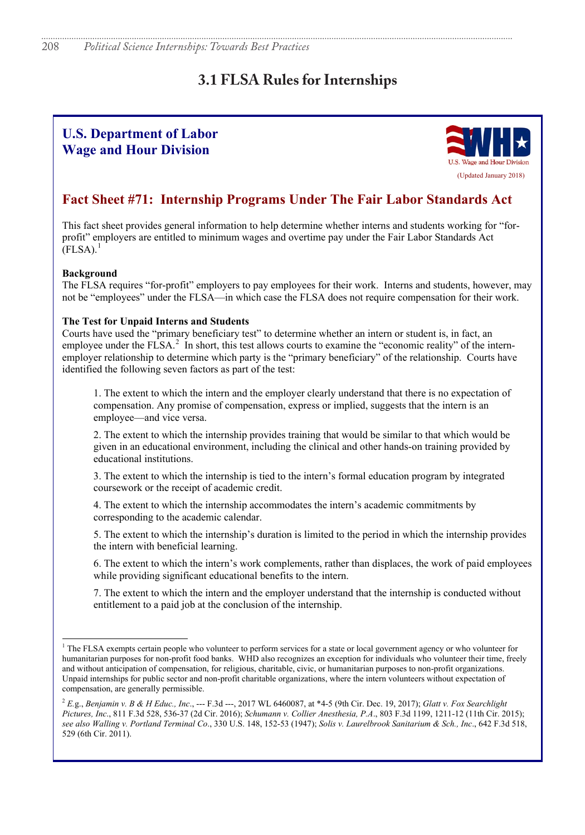# **3.1 FLSA Rules for Internships**

# **U.S. Department of Labor Wage and Hour Division**



## **Fact Sheet #71: Internship Programs Under The Fair Labor Standards Act**

This fact sheet provides general information to help determine whether interns and students working for "forprofit" employers are entitled to minimum wages and overtime pay under the Fair Labor Standards Act  $[FLSA].$ <sup>1</sup>

### **Background**

The FLSA requires "for-profit" employers to pay employees for their work. Interns and students, however, may not be "employees" under the FLSA—in which case the FLSA does not require compensation for their work.

### **The Test for Unpaid Interns and Students**

Courts have used the "primary beneficiary test" to determine whether an intern or student is, in fact, an employee under the FLSA.<sup>2</sup> In short, this test allows courts to examine the "economic reality" of the internemployer relationship to determine which party is the "primary beneficiary" of the relationship. Courts have identified the following seven factors as part of the test:

1. The extent to which the intern and the employer clearly understand that there is no expectation of compensation. Any promise of compensation, express or implied, suggests that the intern is an employee—and vice versa.

2. The extent to which the internship provides training that would be similar to that which would be given in an educational environment, including the clinical and other hands-on training provided by educational institutions.

3. The extent to which the internship is tied to the intern's formal education program by integrated coursework or the receipt of academic credit.

4. The extent to which the internship accommodates the intern's academic commitments by corresponding to the academic calendar.

5. The extent to which the internship's duration is limited to the period in which the internship provides the intern with beneficial learning.

6. The extent to which the intern's work complements, rather than displaces, the work of paid employees while providing significant educational benefits to the intern.

7. The extent to which the intern and the employer understand that the internship is conducted without entitlement to a paid job at the conclusion of the internship.

 $<sup>1</sup>$  The FLSA exempts certain people who volunteer to perform services for a state or local government agency or who volunteer for</sup> humanitarian purposes for non-profit food banks. WHD also recognizes an exception for individuals who volunteer their time, freely and without anticipation of compensation, for religious, charitable, civic, or humanitarian purposes to non-profit organizations. Unpaid internships for public sector and non-profit charitable organizations, where the intern volunteers without expectation of compensation, are generally permissible.

<sup>2</sup> *E.*g., *Benjamin v. B & H Educ., Inc*., --- F.3d ---, 2017 WL 6460087, at \*4-5 (9th Cir. Dec. 19, 2017); *Glatt v. Fox Searchlight Pictures, Inc*., 811 F.3d 528, 536-37 (2d Cir. 2016); *Schumann v. Collier Anesthesia, P.A*., 803 F.3d 1199, 1211-12 (11th Cir. 2015); *see also Walling v. Portland Terminal Co*., 330 U.S. 148, 152-53 (1947); *Solis v. Laurelbrook Sanitarium & Sch., Inc*., 642 F.3d 518, 529 (6th Cir. 2011).